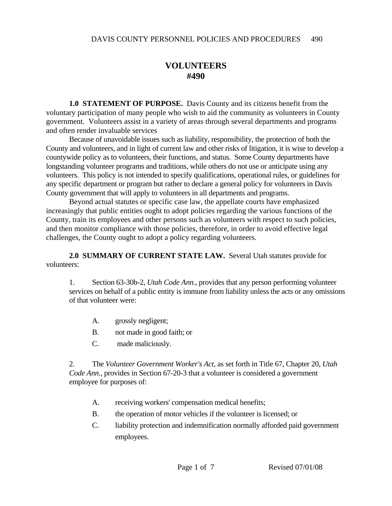## **VOLUNTEERS #490**

**1.0 STATEMENT OF PURPOSE.** Davis County and its citizens benefit from the voluntary participation of many people who wish to aid the community as volunteers in County government. Volunteers assist in a variety of areas through several departments and programs and often render invaluable services

 Because of unavoidable issues such as liability, responsibility, the protection of both the County and volunteers, and in light of current law and other risks of litigation, it is wise to develop a countywide policy as to volunteers, their functions, and status. Some County departments have longstanding volunteer programs and traditions, while others do not use or anticipate using any volunteers. This policy is not intended to specify qualifications, operational rules, or guidelines for any specific department or program but rather to declare a general policy for volunteers in Davis County government that will apply to volunteers in all departments and programs.

 Beyond actual statutes or specific case law, the appellate courts have emphasized increasingly that public entities ought to adopt policies regarding the various functions of the County, train its employees and other persons such as volunteers with respect to such policies, and then monitor compliance with those policies, therefore, in order to avoid effective legal challenges, the County ought to adopt a policy regarding volunteers.

**2.0 SUMMARY OF CURRENT STATE LAW.** Several Utah statutes provide for volunteers:

1. Section 63-30b-2, *Utah Code Ann.*, provides that any person performing volunteer services on behalf of a public entity is immune from liability unless the acts or any omissions of that volunteer were:

- A. grossly negligent;
- B. not made in good faith; or
- C. made maliciously.

2. The *Volunteer Government Worker's Act*, as set forth in Title 67, Chapter 20, *Utah Code Ann.*, provides in Section 67-20-3 that a volunteer is considered a government employee for purposes of:

- A. receiving workers' compensation medical benefits;
- B. the operation of motor vehicles if the volunteer is licensed; or
- C. liability protection and indemnification normally afforded paid government employees.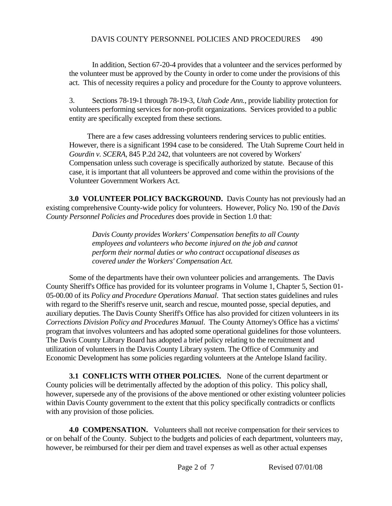In addition, Section 67-20-4 provides that a volunteer and the services performed by the volunteer must be approved by the County in order to come under the provisions of this act. This of necessity requires a policy and procedure for the County to approve volunteers.

3. Sections 78-19-1 through 78-19-3, *Utah Code Ann.*, provide liability protection for volunteers performing services for non-profit organizations. Services provided to a public entity are specifically excepted from these sections.

 There are a few cases addressing volunteers rendering services to public entities. However, there is a significant 1994 case to be considered. The Utah Supreme Court held in *Gourdin v. SCERA*, 845 P.2d 242, that volunteers are not covered by Workers' Compensation unless such coverage is specifically authorized by statute. Because of this case, it is important that all volunteers be approved and come within the provisions of the Volunteer Government Workers Act.

**3.0 VOLUNTEER POLICY BACKGROUND.** Davis County has not previously had an existing comprehensive County-wide policy for volunteers. However, Policy No. 190 of the *Davis County Personnel Policies and Procedures* does provide in Section 1.0 that:

> *Davis County provides Workers' Compensation benefits to all County employees and volunteers who become injured on the job and cannot perform their normal duties or who contract occupational diseases as covered under the Workers' Compensation Act.*

 Some of the departments have their own volunteer policies and arrangements. The Davis County Sheriff's Office has provided for its volunteer programs in Volume 1, Chapter 5, Section 01- 05-00.00 of its *Policy and Procedure Operations Manual*. That section states guidelines and rules with regard to the Sheriff's reserve unit, search and rescue, mounted posse, special deputies, and auxiliary deputies. The Davis County Sheriff's Office has also provided for citizen volunteers in its *Corrections Division Policy and Procedures Manual*. The County Attorney's Office has a victims' program that involves volunteers and has adopted some operational guidelines for those volunteers. The Davis County Library Board has adopted a brief policy relating to the recruitment and utilization of volunteers in the Davis County Library system. The Office of Community and Economic Development has some policies regarding volunteers at the Antelope Island facility.

**3.1 CONFLICTS WITH OTHER POLICIES.** None of the current department or County policies will be detrimentally affected by the adoption of this policy. This policy shall, however, supersede any of the provisions of the above mentioned or other existing volunteer policies within Davis County government to the extent that this policy specifically contradicts or conflicts with any provision of those policies.

**4.0 COMPENSATION.** Volunteers shall not receive compensation for their services to or on behalf of the County. Subject to the budgets and policies of each department, volunteers may, however, be reimbursed for their per diem and travel expenses as well as other actual expenses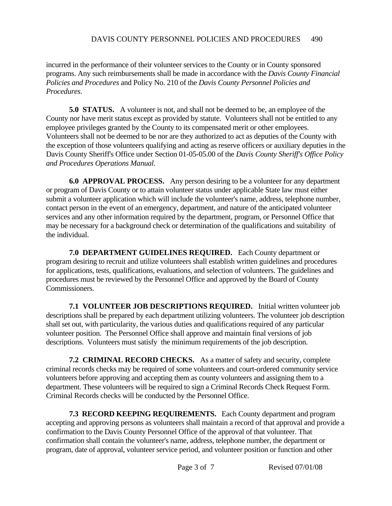## DAVIS COUNTY PERSONNEL POLICIES AND PROCEDURES 490

incurred in the performance of their volunteer services to the County or in County sponsored programs. Any such reimbursements shall be made in accordance with the *Davis County Financial Policies and Procedures* and Policy No. 210 of the *Davis County Personnel Policies and Procedures*.

**5.0 STATUS.** A volunteer is not, and shall not be deemed to be, an employee of the County nor have merit status except as provided by statute. Volunteers shall not be entitled to any employee privileges granted by the County to its compensated merit or other employees. Volunteers shall not be deemed to be nor are they authorized to act as deputies of the County with the exception of those volunteers qualifying and acting as reserve officers or auxiliary deputies in the Davis County Sheriff's Office under Section 01-05-05.00 of the *Davis County Sheriff's Office Policy and Procedures Operations Manual*.

**6.0 APPROVAL PROCESS.** Any person desiring to be a volunteer for any department or program of Davis County or to attain volunteer status under applicable State law must either submit a volunteer application which will include the volunteer's name, address, telephone number, contact person in the event of an emergency, department, and nature of the anticipated volunteer services and any other information required by the department, program, or Personnel Office that may be necessary for a background check or determination of the qualifications and suitability of the individual.

**7.0 DEPARTMENT GUIDELINES REQUIRED.** Each County department or program desiring to recruit and utilize volunteers shall establish written guidelines and procedures for applications, tests, qualifications, evaluations, and selection of volunteers. The guidelines and procedures must be reviewed by the Personnel Office and approved by the Board of County Commissioners.

**7.1 VOLUNTEER JOB DESCRIPTIONS REQUIRED.** Initial written volunteer job descriptions shall be prepared by each department utilizing volunteers. The volunteer job description shall set out, with particularity, the various duties and qualifications required of any particular volunteer position. The Personnel Office shall approve and maintain final versions of job descriptions. Volunteers must satisfy the minimum requirements of the job description.

**7.2 CRIMINAL RECORD CHECKS.** As a matter of safety and security, complete criminal records checks may be required of some volunteers and court-ordered community service volunteers before approving and accepting them as county volunteers and assigning them to a department. These volunteers will be required to sign a Criminal Records Check Request Form. Criminal Records checks will be conducted by the Personnel Office.

**7.3 RECORD KEEPING REQUIREMENTS.** Each County department and program accepting and approving persons as volunteers shall maintain a record of that approval and provide a confirmation to the Davis County Personnel Office of the approval of that volunteer. That confirmation shall contain the volunteer's name, address, telephone number, the department or program, date of approval, volunteer service period, and volunteer position or function and other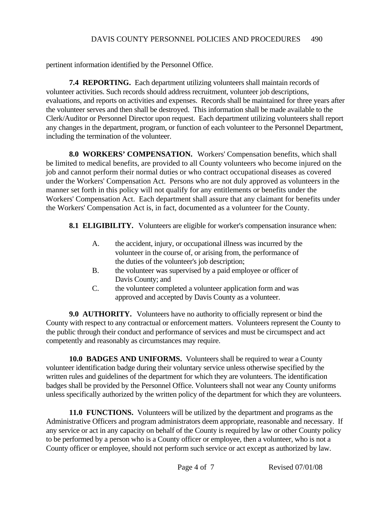pertinent information identified by the Personnel Office.

**7.4 REPORTING.** Each department utilizing volunteers shall maintain records of volunteer activities. Such records should address recruitment, volunteer job descriptions, evaluations, and reports on activities and expenses. Records shall be maintained for three years after the volunteer serves and then shall be destroyed. This information shall be made available to the Clerk/Auditor or Personnel Director upon request. Each department utilizing volunteers shall report any changes in the department, program, or function of each volunteer to the Personnel Department, including the termination of the volunteer.

**8.0 WORKERS' COMPENSATION.** Workers' Compensation benefits, which shall be limited to medical benefits, are provided to all County volunteers who become injured on the job and cannot perform their normal duties or who contract occupational diseases as covered under the Workers' Compensation Act. Persons who are not duly approved as volunteers in the manner set forth in this policy will not qualify for any entitlements or benefits under the Workers' Compensation Act. Each department shall assure that any claimant for benefits under the Workers' Compensation Act is, in fact, documented as a volunteer for the County.

**8.1 ELIGIBILITY.** Volunteers are eligible for worker's compensation insurance when:

- A. the accident, injury, or occupational illness was incurred by the volunteer in the course of, or arising from, the performance of the duties of the volunteer's job description;
- B. the volunteer was supervised by a paid employee or officer of Davis County; and
- C. the volunteer completed a volunteer application form and was approved and accepted by Davis County as a volunteer.

**9.0 AUTHORITY.** Volunteers have no authority to officially represent or bind the County with respect to any contractual or enforcement matters. Volunteers represent the County to the public through their conduct and performance of services and must be circumspect and act competently and reasonably as circumstances may require.

**10.0 BADGES AND UNIFORMS.** Volunteers shall be required to wear a County volunteer identification badge during their voluntary service unless otherwise specified by the written rules and guidelines of the department for which they are volunteers. The identification badges shall be provided by the Personnel Office. Volunteers shall not wear any County uniforms unless specifically authorized by the written policy of the department for which they are volunteers.

**11.0 FUNCTIONS.** Volunteers will be utilized by the department and programs as the Administrative Officers and program administrators deem appropriate, reasonable and necessary. If any service or act in any capacity on behalf of the County is required by law or other County policy to be performed by a person who is a County officer or employee, then a volunteer, who is not a County officer or employee, should not perform such service or act except as authorized by law.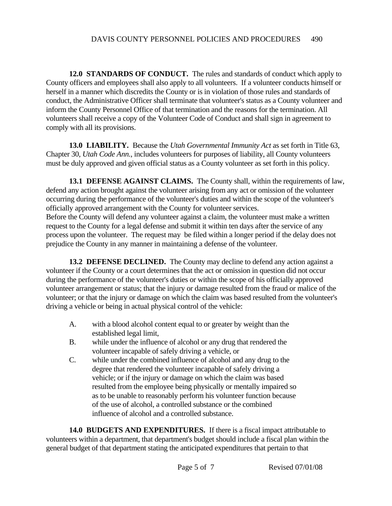**12.0 STANDARDS OF CONDUCT.** The rules and standards of conduct which apply to County officers and employees shall also apply to all volunteers. If a volunteer conducts himself or herself in a manner which discredits the County or is in violation of those rules and standards of conduct, the Administrative Officer shall terminate that volunteer's status as a County volunteer and inform the County Personnel Office of that termination and the reasons for the termination. All volunteers shall receive a copy of the Volunteer Code of Conduct and shall sign in agreement to comply with all its provisions.

**13.0 LIABILITY.** Because the *Utah Governmental Immunity Act* as set forth in Title 63, Chapter 30, *Utah Code Ann.*, includes volunteers for purposes of liability, all County volunteers must be duly approved and given official status as a County volunteer as set forth in this policy.

**13.1 DEFENSE AGAINST CLAIMS.** The County shall, within the requirements of law, defend any action brought against the volunteer arising from any act or omission of the volunteer occurring during the performance of the volunteer's duties and within the scope of the volunteer's officially approved arrangement with the County for volunteer services.

Before the County will defend any volunteer against a claim, the volunteer must make a written request to the County for a legal defense and submit it within ten days after the service of any process upon the volunteer. The request may be filed within a longer period if the delay does not prejudice the County in any manner in maintaining a defense of the volunteer.

**13.2 DEFENSE DECLINED.** The County may decline to defend any action against a volunteer if the County or a court determines that the act or omission in question did not occur during the performance of the volunteer's duties or within the scope of his officially approved volunteer arrangement or status; that the injury or damage resulted from the fraud or malice of the volunteer; or that the injury or damage on which the claim was based resulted from the volunteer's driving a vehicle or being in actual physical control of the vehicle:

- A. with a blood alcohol content equal to or greater by weight than the established legal limit,
- B. while under the influence of alcohol or any drug that rendered the volunteer incapable of safely driving a vehicle, or
- C. while under the combined influence of alcohol and any drug to the degree that rendered the volunteer incapable of safely driving a vehicle; or if the injury or damage on which the claim was based resulted from the employee being physically or mentally impaired so as to be unable to reasonably perform his volunteer function because of the use of alcohol, a controlled substance or the combined influence of alcohol and a controlled substance.

**14.0 BUDGETS AND EXPENDITURES.** If there is a fiscal impact attributable to volunteers within a department, that department's budget should include a fiscal plan within the general budget of that department stating the anticipated expenditures that pertain to that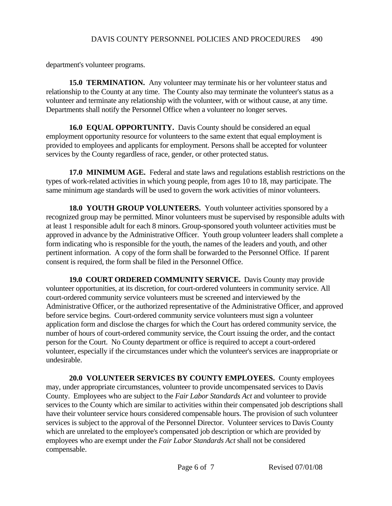department's volunteer programs.

**15.0 TERMINATION.** Any volunteer may terminate his or her volunteer status and relationship to the County at any time. The County also may terminate the volunteer's status as a volunteer and terminate any relationship with the volunteer, with or without cause, at any time. Departments shall notify the Personnel Office when a volunteer no longer serves.

**16.0 EQUAL OPPORTUNITY.** Davis County should be considered an equal employment opportunity resource for volunteers to the same extent that equal employment is provided to employees and applicants for employment. Persons shall be accepted for volunteer services by the County regardless of race, gender, or other protected status.

**17.0 MINIMUM AGE.** Federal and state laws and regulations establish restrictions on the types of work-related activities in which young people, from ages 10 to 18, may participate. The same minimum age standards will be used to govern the work activities of minor volunteers.

**18.0 YOUTH GROUP VOLUNTEERS.** Youth volunteer activities sponsored by a recognized group may be permitted. Minor volunteers must be supervised by responsible adults with at least 1 responsible adult for each 8 minors. Group-sponsored youth volunteer activities must be approved in advance by the Administrative Officer. Youth group volunteer leaders shall complete a form indicating who is responsible for the youth, the names of the leaders and youth, and other pertinent information. A copy of the form shall be forwarded to the Personnel Office. If parent consent is required, the form shall be filed in the Personnel Office.

**19.0 COURT ORDERED COMMUNITY SERVICE.** Davis County may provide volunteer opportunities, at its discretion, for court-ordered volunteers in community service. All court-ordered community service volunteers must be screened and interviewed by the Administrative Officer, or the authorized representative of the Administrative Officer, and approved before service begins. Court-ordered community service volunteers must sign a volunteer application form and disclose the charges for which the Court has ordered community service, the number of hours of court-ordered community service, the Court issuing the order, and the contact person for the Court. No County department or office is required to accept a court-ordered volunteer, especially if the circumstances under which the volunteer's services are inappropriate or undesirable.

**20.0 VOLUNTEER SERVICES BY COUNTY EMPLOYEES.** County employees may, under appropriate circumstances, volunteer to provide uncompensated services to Davis County. Employees who are subject to the *Fair Labor Standards Act* and volunteer to provide services to the County which are similar to activities within their compensated job descriptions shall have their volunteer service hours considered compensable hours. The provision of such volunteer services is subject to the approval of the Personnel Director. Volunteer services to Davis County which are unrelated to the employee's compensated job description or which are provided by employees who are exempt under the *Fair Labor Standards Act* shall not be considered compensable.